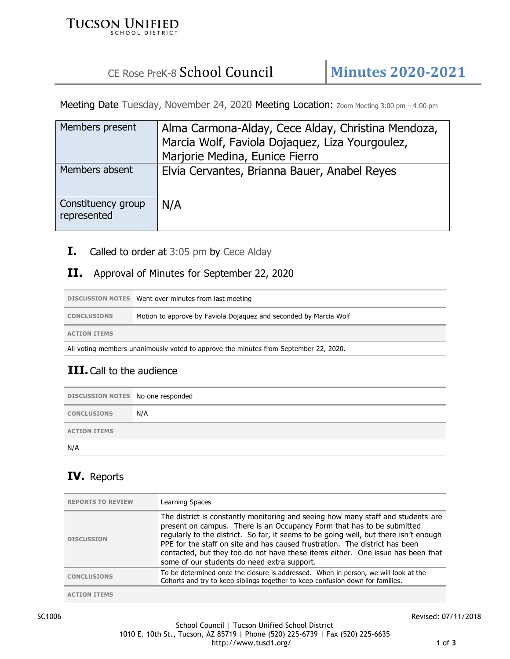#### **TUCSON UNIFIED SCHOOL DISTRICT**

# CE Rose PreK-8 School Council **Minutes 2020-2021**

Meeting Date Tuesday, November 24, 2020 Meeting Location: Zoom Meeting 3:00 pm - 4:00 pm

| Members present                   | Alma Carmona-Alday, Cece Alday, Christina Mendoza, |
|-----------------------------------|----------------------------------------------------|
|                                   | Marcia Wolf, Faviola Dojaquez, Liza Yourgoulez,    |
|                                   | Marjorie Medina, Eunice Fierro                     |
| Members absent                    | Elvia Cervantes, Brianna Bauer, Anabel Reyes       |
| Constituency group<br>represented | N/A                                                |

**I.** Called to order at 3:05 pm by Cece Alday

#### **II.** Approval of Minutes for September 22, 2020

|                                                                                      | DISCUSSION NOTES   Went over minutes from last meeting            |
|--------------------------------------------------------------------------------------|-------------------------------------------------------------------|
| <b>CONCLUSIONS</b>                                                                   | Motion to approve by Faviola Dojaquez and seconded by Marcia Wolf |
| <b>ACTION ITEMS</b>                                                                  |                                                                   |
| All voting members unanimously voted to approve the minutes from September 22, 2020. |                                                                   |

## **III.** Call to the audience

| DISCUSSION NOTES   No one responded |     |
|-------------------------------------|-----|
| <b>CONCLUSIONS</b>                  | N/A |
| <b>ACTION ITEMS</b>                 |     |
| N/A                                 |     |

## **IV.** Reports

| <b>REPORTS TO REVIEW</b> | Learning Spaces                                                                                                                                                                                                                                                                                                                                                                                                                                                     |
|--------------------------|---------------------------------------------------------------------------------------------------------------------------------------------------------------------------------------------------------------------------------------------------------------------------------------------------------------------------------------------------------------------------------------------------------------------------------------------------------------------|
| <b>DISCUSSION</b>        | The district is constantly monitoring and seeing how many staff and students are<br>present on campus. There is an Occupancy Form that has to be submitted<br>regularly to the district. So far, it seems to be going well, but there isn't enough<br>PPE for the staff on site and has caused frustration. The district has been<br>contacted, but they too do not have these items either. One issue has been that<br>some of our students do need extra support. |
| <b>CONCLUSIONS</b>       | To be determined once the closure is addressed. When in person, we will look at the<br>Cohorts and try to keep siblings together to keep confusion down for families.                                                                                                                                                                                                                                                                                               |
| <b>ACTION ITEMS</b>      |                                                                                                                                                                                                                                                                                                                                                                                                                                                                     |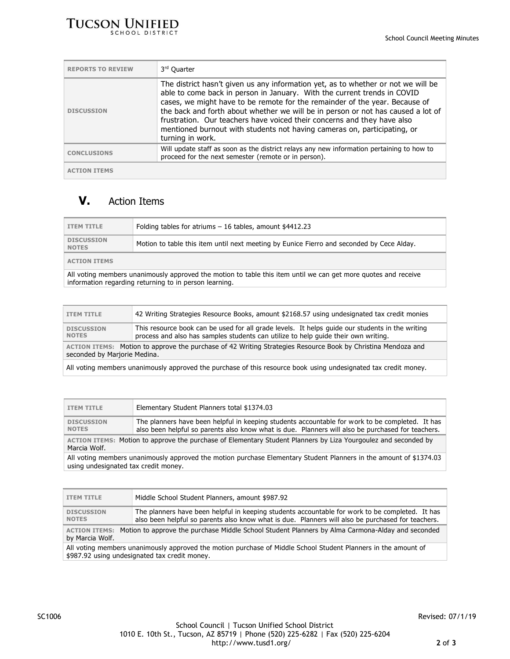

| <b>REPORTS TO REVIEW</b> | 3rd Quarter                                                                                                                                                                                                                                                                                                                                                                                                                                                                                                 |
|--------------------------|-------------------------------------------------------------------------------------------------------------------------------------------------------------------------------------------------------------------------------------------------------------------------------------------------------------------------------------------------------------------------------------------------------------------------------------------------------------------------------------------------------------|
| <b>DISCUSSION</b>        | The district hasn't given us any information yet, as to whether or not we will be<br>able to come back in person in January. With the current trends in COVID<br>cases, we might have to be remote for the remainder of the year. Because of<br>the back and forth about whether we will be in person or not has caused a lot of<br>frustration. Our teachers have voiced their concerns and they have also<br>mentioned burnout with students not having cameras on, participating, or<br>turning in work. |
| <b>CONCLUSIONS</b>       | Will update staff as soon as the district relays any new information pertaining to how to<br>proceed for the next semester (remote or in person).                                                                                                                                                                                                                                                                                                                                                           |
| <b>ACTION ITEMS</b>      |                                                                                                                                                                                                                                                                                                                                                                                                                                                                                                             |

## **V.** Action Items

| <b>ITEM TITLE</b>                                                                                              | Folding tables for atriums $-16$ tables, amount \$4412.23                                 |
|----------------------------------------------------------------------------------------------------------------|-------------------------------------------------------------------------------------------|
| <b>DISCUSSION</b><br><b>NOTES</b>                                                                              | Motion to table this item until next meeting by Eunice Fierro and seconded by Cece Alday. |
| <b>ACTION ITEMS</b>                                                                                            |                                                                                           |
| All voting members unanimously approved the motion to table this item until we can get more quotes and receive |                                                                                           |

information regarding returning to in person learning.

| <b>ITEM TITLE</b>                                                                                                                            | 42 Writing Strategies Resource Books, amount \$2168.57 using undesignated tax credit monies                                                                                           |
|----------------------------------------------------------------------------------------------------------------------------------------------|---------------------------------------------------------------------------------------------------------------------------------------------------------------------------------------|
| <b>DISCUSSION</b><br><b>NOTES</b>                                                                                                            | This resource book can be used for all grade levels. It helps guide our students in the writing<br>process and also has samples students can utilize to help quide their own writing. |
| ACTION ITEMS: Motion to approve the purchase of 42 Writing Strategies Resource Book by Christina Mendoza and<br>seconded by Marjorie Medina. |                                                                                                                                                                                       |
|                                                                                                                                              |                                                                                                                                                                                       |

All voting members unanimously approved the purchase of this resource book using undesignated tax credit money.

| <b>ITEM TITLE</b>                                                                                              | Elementary Student Planners total \$1374.03                                                                                                                                                          |
|----------------------------------------------------------------------------------------------------------------|------------------------------------------------------------------------------------------------------------------------------------------------------------------------------------------------------|
| <b>DISCUSSION</b><br><b>NOTES</b>                                                                              | The planners have been helpful in keeping students accountable for work to be completed. It has<br>also been helpful so parents also know what is due. Planners will also be purchased for teachers. |
| ACTION ITEMS: Motion to approve the purchase of Elementary Student Planners by Liza Yourgoulez and seconded by |                                                                                                                                                                                                      |

Marcia Wolf.

All voting members unanimously approved the motion purchase Elementary Student Planners in the amount of \$1374.03 using undesignated tax credit money.

| <b>ITEM TITLE</b>                                                                                                                                               | Middle School Student Planners, amount \$987.92                                                                                                                                                      |
|-----------------------------------------------------------------------------------------------------------------------------------------------------------------|------------------------------------------------------------------------------------------------------------------------------------------------------------------------------------------------------|
| <b>DISCUSSION</b><br><b>NOTES</b>                                                                                                                               | The planners have been helpful in keeping students accountable for work to be completed. It has<br>also been helpful so parents also know what is due. Planners will also be purchased for teachers. |
| ACTION ITEMS: Motion to approve the purchase Middle School Student Planners by Alma Carmona-Alday and seconded<br>by Marcia Wolf.                               |                                                                                                                                                                                                      |
| All voting members unanimously approved the motion purchase of Middle School Student Planners in the amount of<br>\$987.92 using undesignated tax credit money. |                                                                                                                                                                                                      |